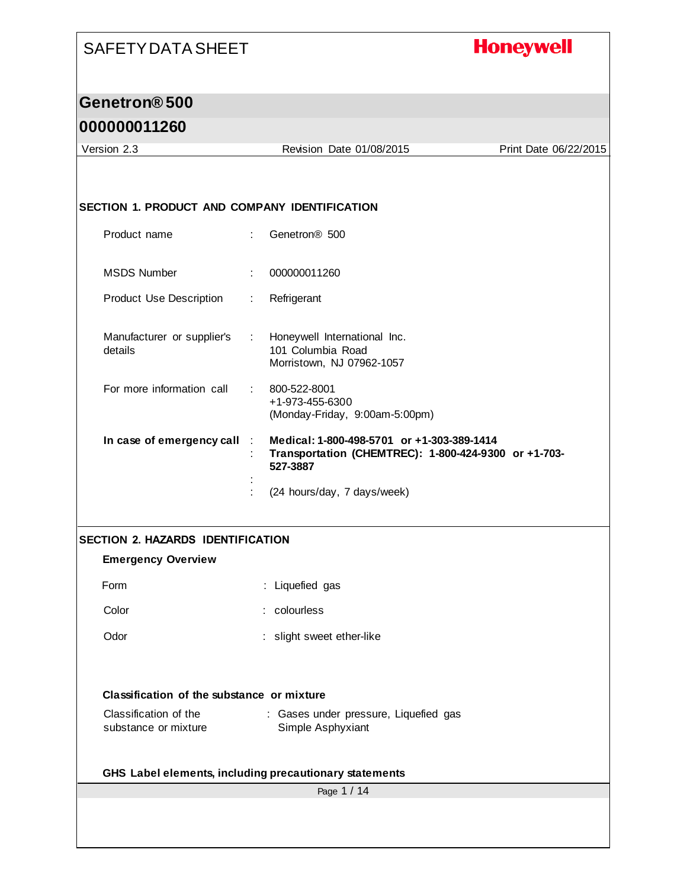# **Honeywell**

#### **Genetron® 500**

| Version 2.3                                          | Revision Date 01/08/2015                                                                                       | Print Date 06/22/2015 |
|------------------------------------------------------|----------------------------------------------------------------------------------------------------------------|-----------------------|
|                                                      |                                                                                                                |                       |
|                                                      |                                                                                                                |                       |
| <b>SECTION 1. PRODUCT AND COMPANY IDENTIFICATION</b> |                                                                                                                |                       |
| Product name                                         | Genetron <sup>®</sup> 500<br>÷.                                                                                |                       |
| <b>MSDS Number</b>                                   | 000000011260<br>÷                                                                                              |                       |
| <b>Product Use Description</b>                       | Refrigerant<br>÷.                                                                                              |                       |
| Manufacturer or supplier's<br>details                | Honeywell International Inc.<br>$\sim 100$<br>101 Columbia Road<br>Morristown, NJ 07962-1057                   |                       |
| For more information call                            | 800-522-8001<br>+1-973-455-6300<br>(Monday-Friday, 9:00am-5:00pm)                                              |                       |
| In case of emergency call                            | Medical: 1-800-498-5701 or +1-303-389-1414<br>Transportation (CHEMTREC): 1-800-424-9300 or +1-703-<br>527-3887 |                       |
|                                                      | (24 hours/day, 7 days/week)                                                                                    |                       |
| <b>SECTION 2. HAZARDS IDENTIFICATION</b>             |                                                                                                                |                       |
| <b>Emergency Overview</b>                            |                                                                                                                |                       |
| Form                                                 | : Liquefied gas                                                                                                |                       |
| Color                                                | : colourless                                                                                                   |                       |
| Odor                                                 | : slight sweet ether-like                                                                                      |                       |
|                                                      |                                                                                                                |                       |
| Classification of the substance or mixture           |                                                                                                                |                       |
| Classification of the<br>substance or mixture        | : Gases under pressure, Liquefied gas<br>Simple Asphyxiant                                                     |                       |
|                                                      | GHS Label elements, including precautionary statements                                                         |                       |
|                                                      | Page 1 / 14                                                                                                    |                       |
|                                                      |                                                                                                                |                       |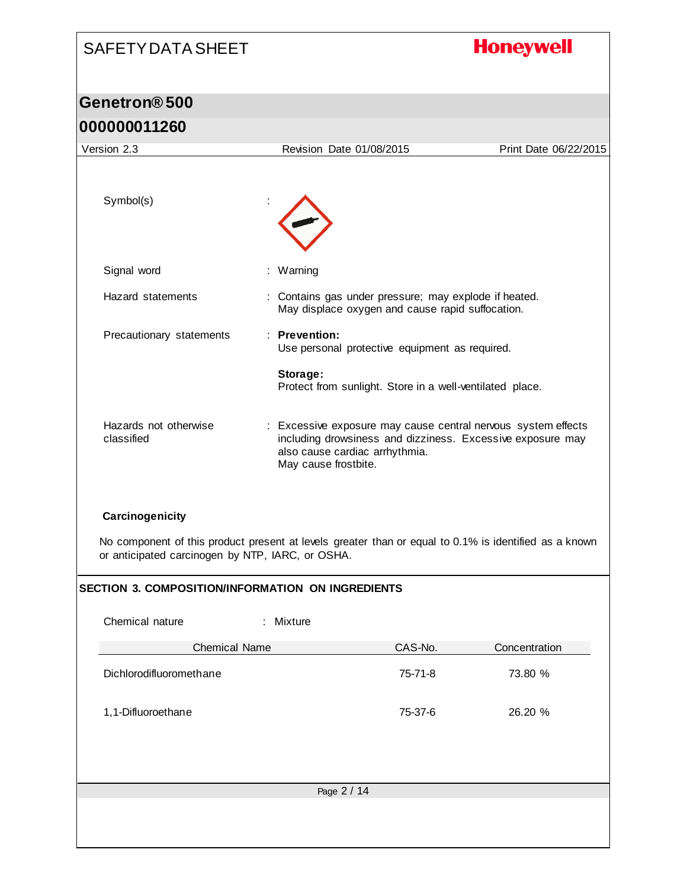# **Honeywell**

# **Genetron® 500**

| 000000011260                                             |                                                                                                                                                                                       |                       |
|----------------------------------------------------------|---------------------------------------------------------------------------------------------------------------------------------------------------------------------------------------|-----------------------|
| Version 2.3                                              | Revision Date 01/08/2015                                                                                                                                                              | Print Date 06/22/2015 |
| Symbol(s)                                                |                                                                                                                                                                                       |                       |
| Signal word                                              | : Warning                                                                                                                                                                             |                       |
| Hazard statements                                        | : Contains gas under pressure; may explode if heated.<br>May displace oxygen and cause rapid suffocation.                                                                             |                       |
| Precautionary statements                                 | : Prevention:<br>Use personal protective equipment as required.                                                                                                                       |                       |
|                                                          | Storage:<br>Protect from sunlight. Store in a well-ventilated place.                                                                                                                  |                       |
| Hazards not otherwise<br>classified                      | : Excessive exposure may cause central nervous system effects<br>including drowsiness and dizziness. Excessive exposure may<br>also cause cardiac arrhythmia.<br>May cause frostbite. |                       |
| Carcinogenicity                                          | No component of this product present at levels greater than or equal to 0.1% is identified as a known                                                                                 |                       |
| or anticipated carcinogen by NTP, IARC, or OSHA.         |                                                                                                                                                                                       |                       |
| <b>SECTION 3. COMPOSITION/INFORMATION ON INGREDIENTS</b> |                                                                                                                                                                                       |                       |
| Chemical nature                                          | : Mixture                                                                                                                                                                             |                       |
| <b>Chemical Name</b>                                     | CAS-No.                                                                                                                                                                               | Concentration         |
| Dichlorodifluoromethane                                  | 75-71-8                                                                                                                                                                               | 73.80 %               |
| 1,1-Difluoroethane                                       | 75-37-6                                                                                                                                                                               | 26.20 %               |
|                                                          |                                                                                                                                                                                       |                       |
|                                                          | Page 2 / 14                                                                                                                                                                           |                       |
|                                                          |                                                                                                                                                                                       |                       |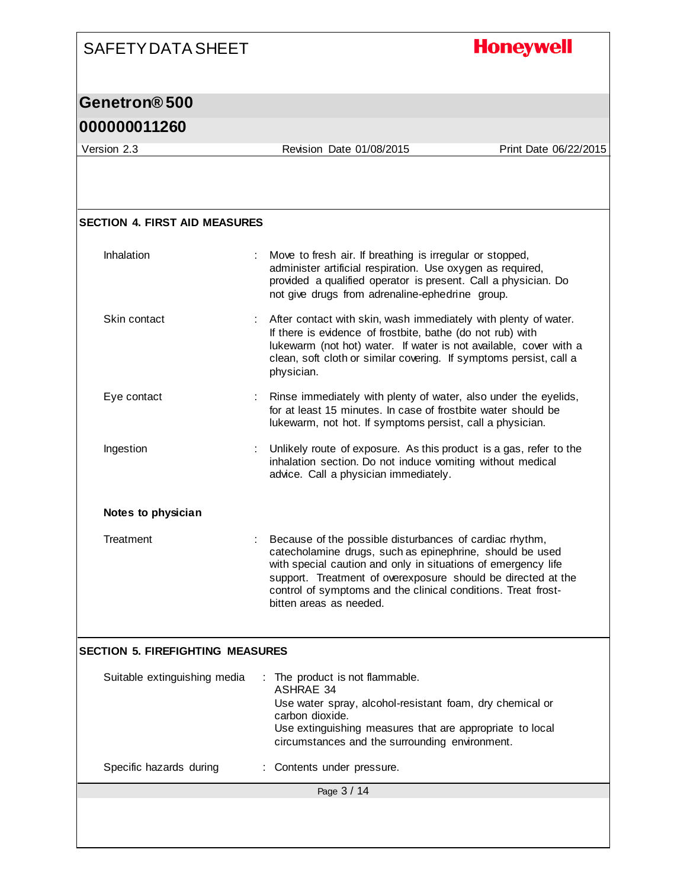# **Honeywell**

#### **Genetron® 500**

| Version 2.3                             | Revision Date 01/08/2015                                                                                                                                                                                                                                                                                                                         | Print Date 06/22/2015 |
|-----------------------------------------|--------------------------------------------------------------------------------------------------------------------------------------------------------------------------------------------------------------------------------------------------------------------------------------------------------------------------------------------------|-----------------------|
|                                         |                                                                                                                                                                                                                                                                                                                                                  |                       |
|                                         |                                                                                                                                                                                                                                                                                                                                                  |                       |
|                                         |                                                                                                                                                                                                                                                                                                                                                  |                       |
| <b>SECTION 4. FIRST AID MEASURES</b>    |                                                                                                                                                                                                                                                                                                                                                  |                       |
| Inhalation                              | Move to fresh air. If breathing is irregular or stopped,<br>administer artificial respiration. Use oxygen as required,<br>provided a qualified operator is present. Call a physician. Do<br>not give drugs from adrenaline-ephedrine group.                                                                                                      |                       |
| Skin contact                            | After contact with skin, wash immediately with plenty of water.<br>If there is evidence of frostbite, bathe (do not rub) with<br>lukewarm (not hot) water. If water is not available, cover with a<br>clean, soft cloth or similar covering. If symptoms persist, call a<br>physician.                                                           |                       |
| Eye contact                             | Rinse immediately with plenty of water, also under the eyelids,<br>for at least 15 minutes. In case of frostbite water should be<br>lukewarm, not hot. If symptoms persist, call a physician.                                                                                                                                                    |                       |
| Ingestion                               | Unlikely route of exposure. As this product is a gas, refer to the<br>inhalation section. Do not induce vomiting without medical<br>advice. Call a physician immediately.                                                                                                                                                                        |                       |
| Notes to physician                      |                                                                                                                                                                                                                                                                                                                                                  |                       |
| Treatment                               | Because of the possible disturbances of cardiac rhythm,<br>catecholamine drugs, such as epinephrine, should be used<br>with special caution and only in situations of emergency life<br>support. Treatment of overexposure should be directed at the<br>control of symptoms and the clinical conditions. Treat frost-<br>bitten areas as needed. |                       |
| <b>SECTION 5. FIREFIGHTING MEASURES</b> |                                                                                                                                                                                                                                                                                                                                                  |                       |
| Suitable extinguishing media            | : The product is not flammable.<br><b>ASHRAE 34</b><br>Use water spray, alcohol-resistant foam, dry chemical or<br>carbon dioxide.<br>Use extinguishing measures that are appropriate to local<br>circumstances and the surrounding environment.                                                                                                 |                       |
| Specific hazards during                 | Contents under pressure.                                                                                                                                                                                                                                                                                                                         |                       |
|                                         | Page 3 / 14                                                                                                                                                                                                                                                                                                                                      |                       |
|                                         |                                                                                                                                                                                                                                                                                                                                                  |                       |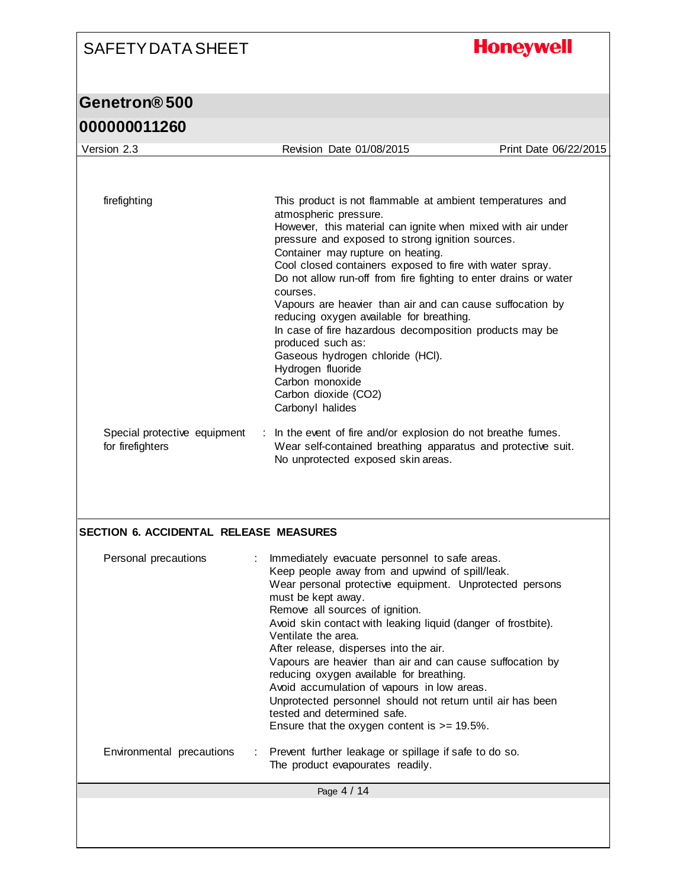# **Honeywell**

# **Genetron® 500**

| 000000011260 |  |
|--------------|--|
|--------------|--|

| Version 2.3                                      | Revision Date 01/08/2015                                                                                                                             | Print Date 06/22/2015 |
|--------------------------------------------------|------------------------------------------------------------------------------------------------------------------------------------------------------|-----------------------|
|                                                  |                                                                                                                                                      |                       |
|                                                  |                                                                                                                                                      |                       |
| firefighting                                     | This product is not flammable at ambient temperatures and<br>atmospheric pressure.                                                                   |                       |
|                                                  | However, this material can ignite when mixed with air under<br>pressure and exposed to strong ignition sources.<br>Container may rupture on heating. |                       |
|                                                  | Cool closed containers exposed to fire with water spray.<br>Do not allow run-off from fire fighting to enter drains or water<br>courses.             |                       |
|                                                  | Vapours are heavier than air and can cause suffocation by<br>reducing oxygen available for breathing.                                                |                       |
|                                                  | In case of fire hazardous decomposition products may be<br>produced such as:<br>Gaseous hydrogen chloride (HCI).                                     |                       |
|                                                  | Hydrogen fluoride<br>Carbon monoxide                                                                                                                 |                       |
|                                                  | Carbon dioxide (CO2)<br>Carbonyl halides                                                                                                             |                       |
| Special protective equipment<br>for firefighters | : In the event of fire and/or explosion do not breathe fumes.<br>Wear self-contained breathing apparatus and protective suit.                        |                       |
|                                                  | No unprotected exposed skin areas.                                                                                                                   |                       |
|                                                  |                                                                                                                                                      |                       |
|                                                  |                                                                                                                                                      |                       |
|                                                  |                                                                                                                                                      |                       |
| <b>SECTION 6. ACCIDENTAL RELEASE MEASURES</b>    |                                                                                                                                                      |                       |
| Personal precautions                             | Immediately evacuate personnel to safe areas.<br>Keep people away from and upwind of spill/leak.                                                     |                       |
|                                                  | Wear personal protective equipment. Unprotected persons<br>must be kept away.                                                                        |                       |
|                                                  | Remove all sources of ignition.                                                                                                                      |                       |
|                                                  | Avoid skin contact with leaking liquid (danger of frostbite).<br>Ventilate the area.                                                                 |                       |
|                                                  | After release, disperses into the air.<br>Vapours are heavier than air and can cause suffocation by                                                  |                       |
|                                                  | reducing oxygen available for breathing.                                                                                                             |                       |
|                                                  | Avoid accumulation of vapours in low areas.<br>Unprotected personnel should not return until air has been                                            |                       |
|                                                  | tested and determined safe.                                                                                                                          |                       |
|                                                  | Ensure that the oxygen content is $>= 19.5\%$ .                                                                                                      |                       |
| Environmental precautions                        | Prevent further leakage or spillage if safe to do so.<br>The product evapourates readily.                                                            |                       |
|                                                  | Page 4 / 14                                                                                                                                          |                       |
|                                                  |                                                                                                                                                      |                       |
|                                                  |                                                                                                                                                      |                       |
|                                                  |                                                                                                                                                      |                       |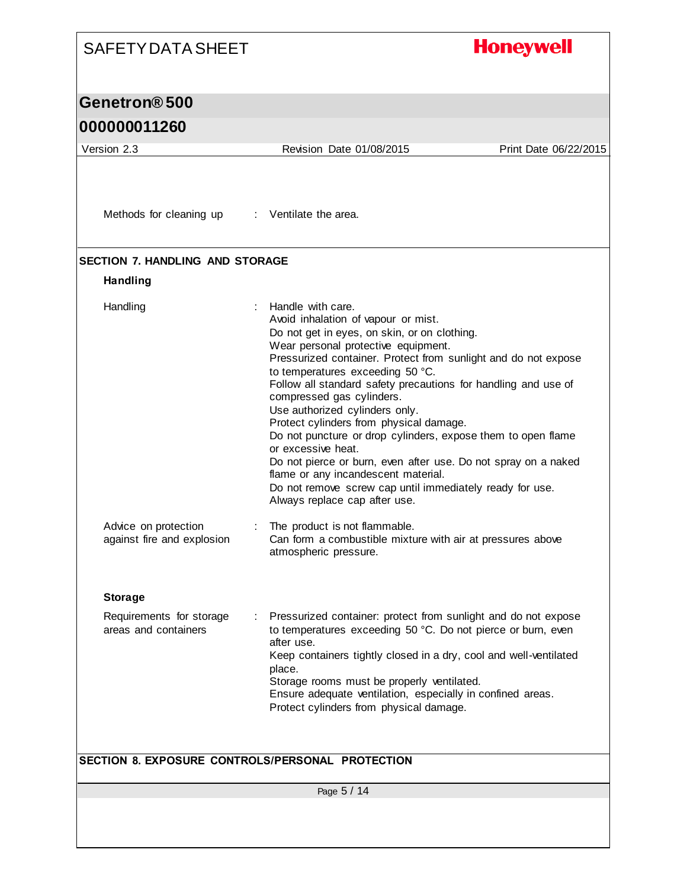#### **Honeywell** SAFETY DATA SHEET **Genetron® 500 000000011260** Version 2.3 Revision Date 01/08/2015 Print Date 06/22/2015 Methods for cleaning up : Ventilate the area. **SECTION 7. HANDLING AND STORAGE Handling** Handling : Handle with care. Avoid inhalation of vapour or mist. Do not get in eyes, on skin, or on clothing. Wear personal protective equipment. Pressurized container. Protect from sunlight and do not expose to temperatures exceeding 50 °C. Follow all standard safety precautions for handling and use of compressed gas cylinders. Use authorized cylinders only. Protect cylinders from physical damage. Do not puncture or drop cylinders, expose them to open flame or excessive heat. Do not pierce or burn, even after use. Do not spray on a naked flame or any incandescent material. Do not remove screw cap until immediately ready for use. Always replace cap after use. Advice on protection : The product is not flammable. against fire and explosion Can form a combustible mixture with air at pressures above atmospheric pressure. **Storage** Requirements for storage : Pressurized container: protect from sunlight and do not expose areas and containers to temperatures exceeding 50 °C. Do not pierce or burn, even after use. Keep containers tightly closed in a dry, cool and well-ventilated place. Storage rooms must be properly ventilated. Ensure adequate ventilation, especially in confined areas. Protect cylinders from physical damage. **SECTION 8. EXPOSURE CONTROLS/PERSONAL PROTECTION**Page 5 / 14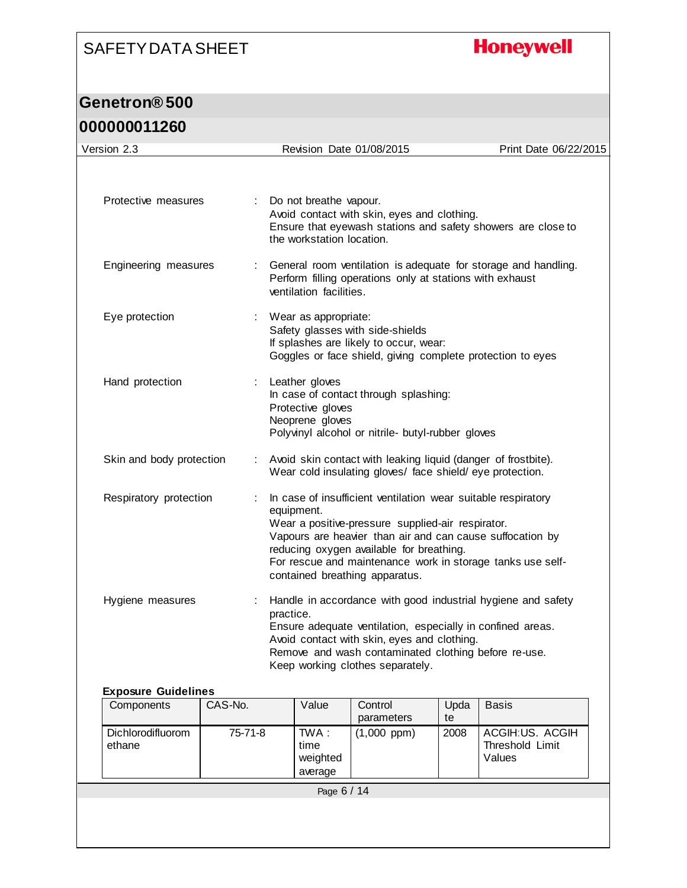# **Honeywell**

#### **Genetron® 500**

#### **000000011260**

| Version 2.3              |   | Revision Date 01/08/2015                                                                                                                                                                                                                                                                                                                  | Print Date 06/22/2015 |
|--------------------------|---|-------------------------------------------------------------------------------------------------------------------------------------------------------------------------------------------------------------------------------------------------------------------------------------------------------------------------------------------|-----------------------|
|                          |   |                                                                                                                                                                                                                                                                                                                                           |                       |
| Protective measures      |   | Do not breathe vapour.<br>Avoid contact with skin, eyes and clothing.<br>Ensure that eyewash stations and safety showers are close to<br>the workstation location.                                                                                                                                                                        |                       |
| Engineering measures     |   | General room ventilation is adequate for storage and handling.<br>Perform filling operations only at stations with exhaust<br>ventilation facilities.                                                                                                                                                                                     |                       |
| Eye protection           |   | Wear as appropriate:<br>Safety glasses with side-shields<br>If splashes are likely to occur, wear:<br>Goggles or face shield, giving complete protection to eyes                                                                                                                                                                          |                       |
| Hand protection          | ÷ | Leather gloves<br>In case of contact through splashing:<br>Protective gloves<br>Neoprene gloves<br>Polyvinyl alcohol or nitrile- butyl-rubber gloves                                                                                                                                                                                      |                       |
| Skin and body protection |   | Avoid skin contact with leaking liquid (danger of frostbite).<br>Wear cold insulating gloves/ face shield/eye protection.                                                                                                                                                                                                                 |                       |
| Respiratory protection   |   | In case of insufficient ventilation wear suitable respiratory<br>equipment.<br>Wear a positive-pressure supplied-air respirator.<br>Vapours are heavier than air and can cause suffocation by<br>reducing oxygen available for breathing.<br>For rescue and maintenance work in storage tanks use self-<br>contained breathing apparatus. |                       |
| Hygiene measures         |   | Handle in accordance with good industrial hygiene and safety<br>practice.<br>Ensure adequate ventilation, especially in confined areas.<br>Avoid contact with skin, eyes and clothing.<br>Remove and wash contaminated clothing before re-use.<br>Keep working clothes separately.                                                        |                       |

#### **Exposure Guidelines**

| Components                  | CAS-No. | Value                                | Control<br>parameters | Upda<br>te | <b>Basis</b>                                 |
|-----------------------------|---------|--------------------------------------|-----------------------|------------|----------------------------------------------|
| Dichlorodifluorom<br>ethane | 75-71-8 | TWA :<br>time<br>weighted<br>average | $(1,000$ ppm $)$      | 2008       | ACGIH:US. ACGIH<br>Threshold Limit<br>Values |
|                             |         | Page 6 / 14                          |                       |            |                                              |
|                             |         |                                      |                       |            |                                              |
|                             |         |                                      |                       |            |                                              |
|                             |         |                                      |                       |            |                                              |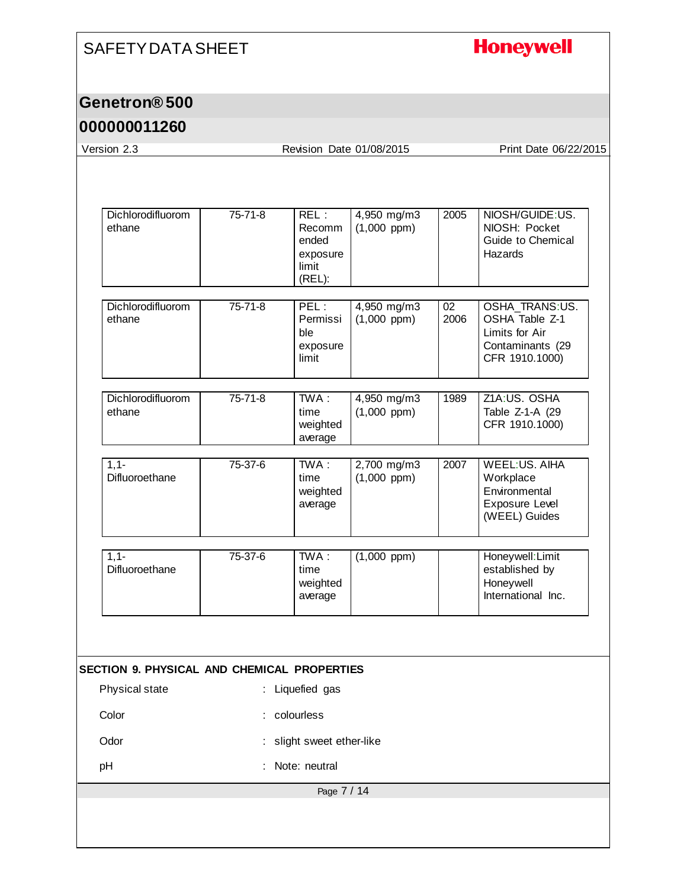# **Honeywell**

#### **Genetron® 500**

| Version 2.3                                                                    |               | Revision Date 01/08/2015                                                    |                                 |            | Print Date 06/22/2015                                                                    |
|--------------------------------------------------------------------------------|---------------|-----------------------------------------------------------------------------|---------------------------------|------------|------------------------------------------------------------------------------------------|
|                                                                                |               |                                                                             |                                 |            |                                                                                          |
| Dichlorodifluorom<br>ethane                                                    | $75 - 71 - 8$ | REL:<br>Recomm<br>ended<br>exposure<br>limit<br>(REL):                      | 4,950 mg/m3<br>$(1,000$ ppm)    | 2005       | NIOSH/GUIDE:US.<br>NIOSH: Pocket<br>Guide to Chemical<br>Hazards                         |
| Dichlorodifluorom<br>ethane                                                    | $75 - 71 - 8$ | PEL:<br>Permissi<br>ble<br>exposure<br>limit                                | 4,950 mg/m3<br>$(1,000$ ppm)    | 02<br>2006 | OSHA_TRANS:US.<br>OSHA Table Z-1<br>Limits for Air<br>Contaminants (29<br>CFR 1910.1000) |
| Dichlorodifluorom<br>ethane                                                    | $75 - 71 - 8$ | TWA:<br>time<br>weighted<br>average                                         | 4,950 mg/m3<br>$(1,000$ ppm $)$ | 1989       | Z1A:US. OSHA<br>Table Z-1-A (29<br>CFR 1910.1000)                                        |
| $1,1-$<br>Difluoroethane                                                       | $75 - 37 - 6$ | TWA:<br>time<br>weighted<br>average                                         | 2,700 mg/m3<br>$(1,000$ ppm)    | 2007       | <b>WEEL:US. AIHA</b><br>Workplace<br>Environmental<br>Exposure Level<br>(WEEL) Guides    |
| $1,1-$<br>Difluoroethane                                                       | 75-37-6       | TWA:<br>time<br>weighted<br>average                                         | $(1,000$ ppm $)$                |            | Honeywell: Limit<br>established by<br>Honeywell<br>International Inc.                    |
| SECTION 9. PHYSICAL AND CHEMICAL PROPERTIES<br>Physical state<br>Color<br>Odor |               | : Liquefied gas<br>: colourless<br>slight sweet ether-like<br>Note: neutral |                                 |            |                                                                                          |
| pH                                                                             |               |                                                                             |                                 |            |                                                                                          |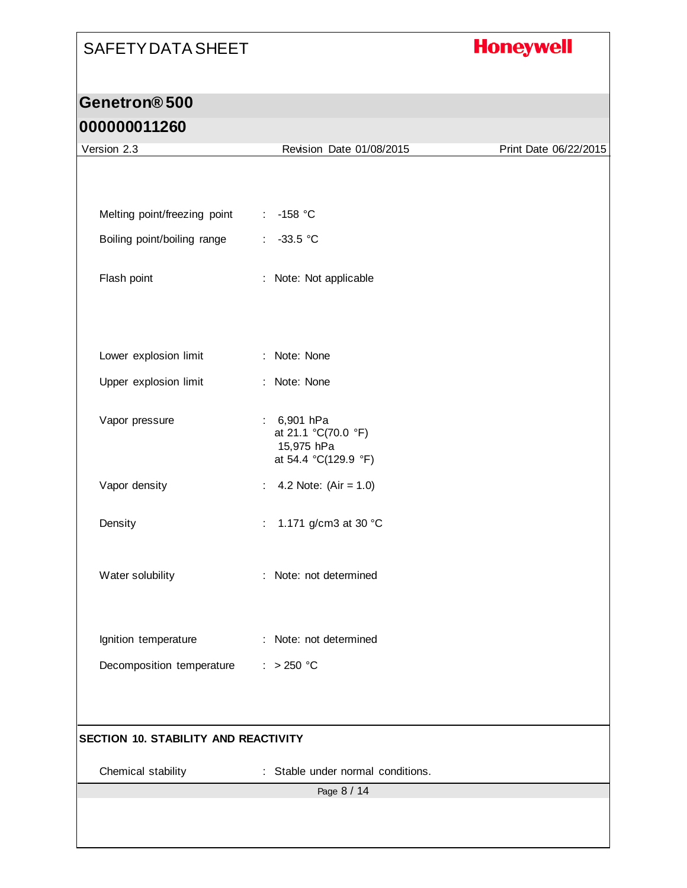# **Honeywell**

#### **Genetron® 500**

| Version 2.3                          | Revision Date 01/08/2015                                                     | Print Date 06/22/2015 |
|--------------------------------------|------------------------------------------------------------------------------|-----------------------|
|                                      |                                                                              |                       |
|                                      |                                                                              |                       |
| Melting point/freezing point         | $-158$ °C<br>÷                                                               |                       |
| Boiling point/boiling range          | -33.5 $°C$                                                                   |                       |
| Flash point                          | : Note: Not applicable                                                       |                       |
|                                      |                                                                              |                       |
| Lower explosion limit                | : Note: None                                                                 |                       |
| Upper explosion limit                | : Note: None                                                                 |                       |
| Vapor pressure                       | 6,901 hPa<br>t.<br>at 21.1 °C(70.0 °F)<br>15,975 hPa<br>at 54.4 °C(129.9 °F) |                       |
| Vapor density                        | 4.2 Note: $(Air = 1.0)$<br>÷.                                                |                       |
| Density                              | 1.171 g/cm3 at 30 °C<br>÷.                                                   |                       |
| Water solubility                     | : Note: not determined                                                       |                       |
| Ignition temperature                 | : Note: not determined                                                       |                       |
| Decomposition temperature            | $: >250$ °C                                                                  |                       |
|                                      |                                                                              |                       |
| SECTION 10. STABILITY AND REACTIVITY |                                                                              |                       |
| Chemical stability                   | : Stable under normal conditions.                                            |                       |
|                                      | Page 8 / 14                                                                  |                       |
|                                      |                                                                              |                       |
|                                      |                                                                              |                       |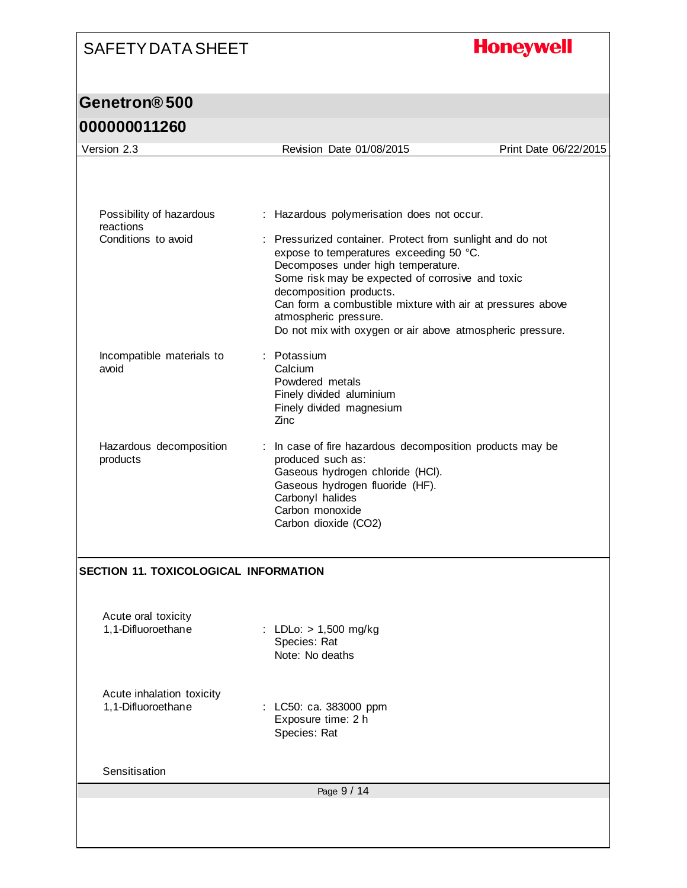# **Honeywell**

# **Genetron® 500**

| Version 2.3                                     | Revision Date 01/08/2015                                                                                                                                                                                                                                                                                                                                                      | Print Date 06/22/2015 |
|-------------------------------------------------|-------------------------------------------------------------------------------------------------------------------------------------------------------------------------------------------------------------------------------------------------------------------------------------------------------------------------------------------------------------------------------|-----------------------|
|                                                 |                                                                                                                                                                                                                                                                                                                                                                               |                       |
|                                                 |                                                                                                                                                                                                                                                                                                                                                                               |                       |
| Possibility of hazardous<br>reactions           | : Hazardous polymerisation does not occur.                                                                                                                                                                                                                                                                                                                                    |                       |
| Conditions to avoid                             | : Pressurized container. Protect from sunlight and do not<br>expose to temperatures exceeding 50 °C.<br>Decomposes under high temperature.<br>Some risk may be expected of corrosive and toxic<br>decomposition products.<br>Can form a combustible mixture with air at pressures above<br>atmospheric pressure.<br>Do not mix with oxygen or air above atmospheric pressure. |                       |
| Incompatible materials to<br>avoid              | : Potassium<br>Calcium<br>Powdered metals<br>Finely divided aluminium<br>Finely divided magnesium<br>Zinc                                                                                                                                                                                                                                                                     |                       |
| Hazardous decomposition<br>products             | : In case of fire hazardous decomposition products may be<br>produced such as:<br>Gaseous hydrogen chloride (HCI).<br>Gaseous hydrogen fluoride (HF).<br>Carbonyl halides<br>Carbon monoxide<br>Carbon dioxide (CO2)                                                                                                                                                          |                       |
| <b>SECTION 11. TOXICOLOGICAL INFORMATION</b>    |                                                                                                                                                                                                                                                                                                                                                                               |                       |
| Acute oral toxicity                             |                                                                                                                                                                                                                                                                                                                                                                               |                       |
| 1,1-Difluoroethane                              | : LDLo: > 1,500 mg/kg<br>Species: Rat<br>Note: No deaths                                                                                                                                                                                                                                                                                                                      |                       |
| Acute inhalation toxicity<br>1,1-Difluoroethane | LC50: ca. 383000 ppm<br>Exposure time: 2 h<br>Species: Rat                                                                                                                                                                                                                                                                                                                    |                       |
| Sensitisation                                   |                                                                                                                                                                                                                                                                                                                                                                               |                       |
|                                                 | Page 9 / 14                                                                                                                                                                                                                                                                                                                                                                   |                       |
|                                                 |                                                                                                                                                                                                                                                                                                                                                                               |                       |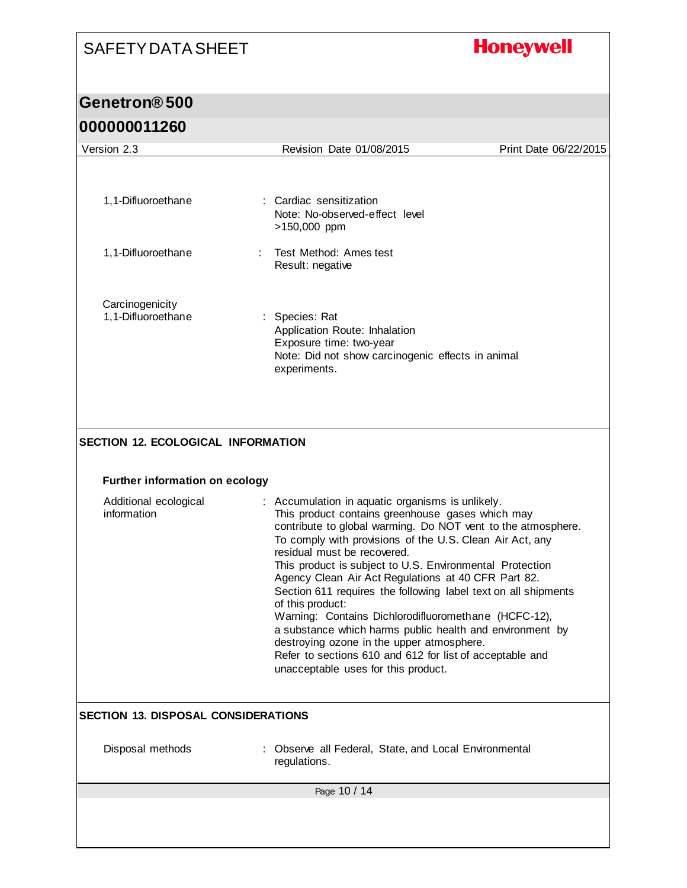# **Honeywell**

#### **Genetron® 500**

| Version 2.3                                | Revision Date 01/08/2015                                                                                                                                                                                                                                                                                                                                                                                                                                                                                                                                                                                                                                                                                                                   | Print Date 06/22/2015 |
|--------------------------------------------|--------------------------------------------------------------------------------------------------------------------------------------------------------------------------------------------------------------------------------------------------------------------------------------------------------------------------------------------------------------------------------------------------------------------------------------------------------------------------------------------------------------------------------------------------------------------------------------------------------------------------------------------------------------------------------------------------------------------------------------------|-----------------------|
| 1,1-Difluoroethane                         | : Cardiac sensitization<br>Note: No-observed-effect level<br>>150,000 ppm                                                                                                                                                                                                                                                                                                                                                                                                                                                                                                                                                                                                                                                                  |                       |
| 1,1-Difluoroethane                         | Test Method: Ames test<br>Result: negative                                                                                                                                                                                                                                                                                                                                                                                                                                                                                                                                                                                                                                                                                                 |                       |
| Carcinogenicity<br>1,1-Difluoroethane      | Species: Rat<br>Application Route: Inhalation<br>Exposure time: two-year<br>Note: Did not show carcinogenic effects in animal<br>experiments.                                                                                                                                                                                                                                                                                                                                                                                                                                                                                                                                                                                              |                       |
| <b>SECTION 12. ECOLOGICAL INFORMATION</b>  |                                                                                                                                                                                                                                                                                                                                                                                                                                                                                                                                                                                                                                                                                                                                            |                       |
| <b>Further information on ecology</b>      |                                                                                                                                                                                                                                                                                                                                                                                                                                                                                                                                                                                                                                                                                                                                            |                       |
| Additional ecological<br>information       | Accumulation in aquatic organisms is unlikely.<br>This product contains greenhouse gases which may<br>contribute to global warming. Do NOT vent to the atmosphere.<br>To comply with provisions of the U.S. Clean Air Act, any<br>residual must be recovered.<br>This product is subject to U.S. Environmental Protection<br>Agency Clean Air Act Regulations at 40 CFR Part 82.<br>Section 611 requires the following label text on all shipments<br>of this product:<br>Warning: Contains Dichlorodifluoromethane (HCFC-12),<br>a substance which harms public health and environment by<br>destroying ozone in the upper atmosphere.<br>Refer to sections 610 and 612 for list of acceptable and<br>unacceptable uses for this product. |                       |
| <b>SECTION 13. DISPOSAL CONSIDERATIONS</b> |                                                                                                                                                                                                                                                                                                                                                                                                                                                                                                                                                                                                                                                                                                                                            |                       |
| Disposal methods                           | : Observe all Federal, State, and Local Environmental<br>regulations.                                                                                                                                                                                                                                                                                                                                                                                                                                                                                                                                                                                                                                                                      |                       |
|                                            | Page 10 / 14                                                                                                                                                                                                                                                                                                                                                                                                                                                                                                                                                                                                                                                                                                                               |                       |
|                                            |                                                                                                                                                                                                                                                                                                                                                                                                                                                                                                                                                                                                                                                                                                                                            |                       |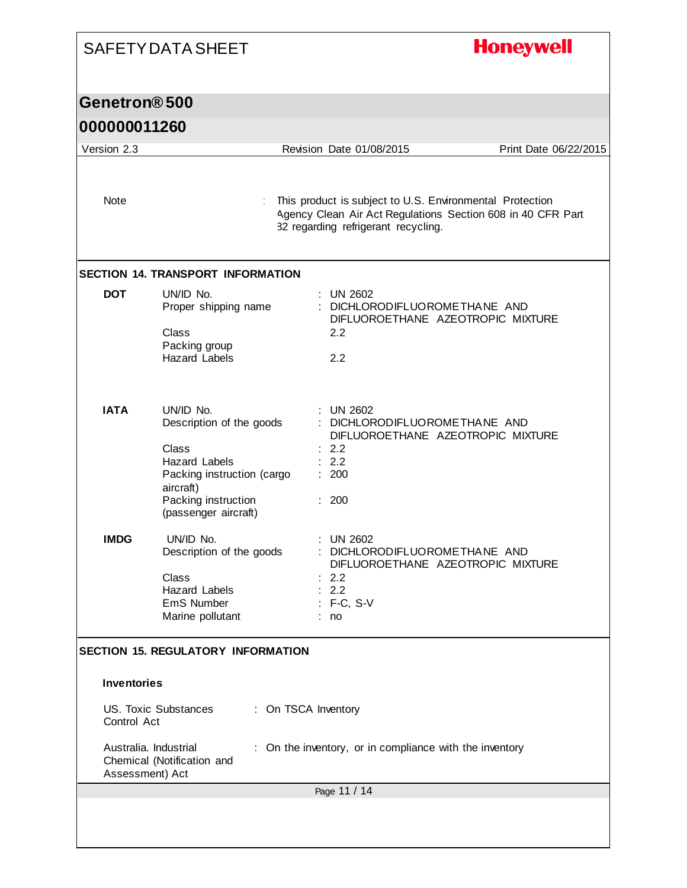|                                   | <b>SAFETY DATA SHEET</b>                                                                                                                                         |                                                                                                                                                                | <b>Honeywell</b>      |
|-----------------------------------|------------------------------------------------------------------------------------------------------------------------------------------------------------------|----------------------------------------------------------------------------------------------------------------------------------------------------------------|-----------------------|
| Genetron <sup>®</sup> 500         |                                                                                                                                                                  |                                                                                                                                                                |                       |
| 000000011260                      |                                                                                                                                                                  |                                                                                                                                                                |                       |
|                                   |                                                                                                                                                                  |                                                                                                                                                                |                       |
| Version 2.3                       |                                                                                                                                                                  | Revision Date 01/08/2015                                                                                                                                       | Print Date 06/22/2015 |
| Note                              |                                                                                                                                                                  | This product is subject to U.S. Environmental Protection<br>Agency Clean Air Act Regulations Section 608 in 40 CFR Part<br>82 regarding refrigerant recycling. |                       |
|                                   | <b>SECTION 14. TRANSPORT INFORMATION</b>                                                                                                                         |                                                                                                                                                                |                       |
| <b>DOT</b>                        | UN/ID No.<br>Proper shipping name<br>Class<br>Packing group<br><b>Hazard</b> Labels                                                                              | : UN 2602<br>: DICHLORODIFLUOROMETHANE AND<br>DIFLUOROETHANE AZEOTROPIC MIXTURE<br>2.2<br>2.2                                                                  |                       |
| <b>IATA</b>                       | UN/ID No.<br>Description of the goods<br>Class<br><b>Hazard Labels</b><br>Packing instruction (cargo<br>aircraft)<br>Packing instruction<br>(passenger aircraft) | : UN 2602<br>DICHLORODIFLUOROMETHANE AND<br>DIFLUOROETHANE AZEOTROPIC MIXTURE<br>2.2<br>: 2.2<br>: 200<br>: 200                                                |                       |
| <b>IMDG</b>                       | UN/ID No.<br>Description of the goods<br>Class<br>Hazard Labels<br>EmS Number<br>Marine pollutant                                                                | <b>UN 2602</b><br>DICHLORODIFLUOROMETHANE AND<br>DIFLUOROETHANE AZEOTROPIC MIXTURE<br>2.2<br>2.2<br>$: F-C, S-V$<br>: no                                       |                       |
| <b>Inventories</b><br>Control Act | <b>SECTION 15. REGULATORY INFORMATION</b><br>US. Toxic Substances<br>Australia. Industrial<br>Chemical (Notification and<br>Assessment) Act                      | : On TSCA Inventory<br>: On the inventory, or in compliance with the inventory                                                                                 |                       |
|                                   |                                                                                                                                                                  | Page 11 / 14                                                                                                                                                   |                       |
|                                   |                                                                                                                                                                  |                                                                                                                                                                |                       |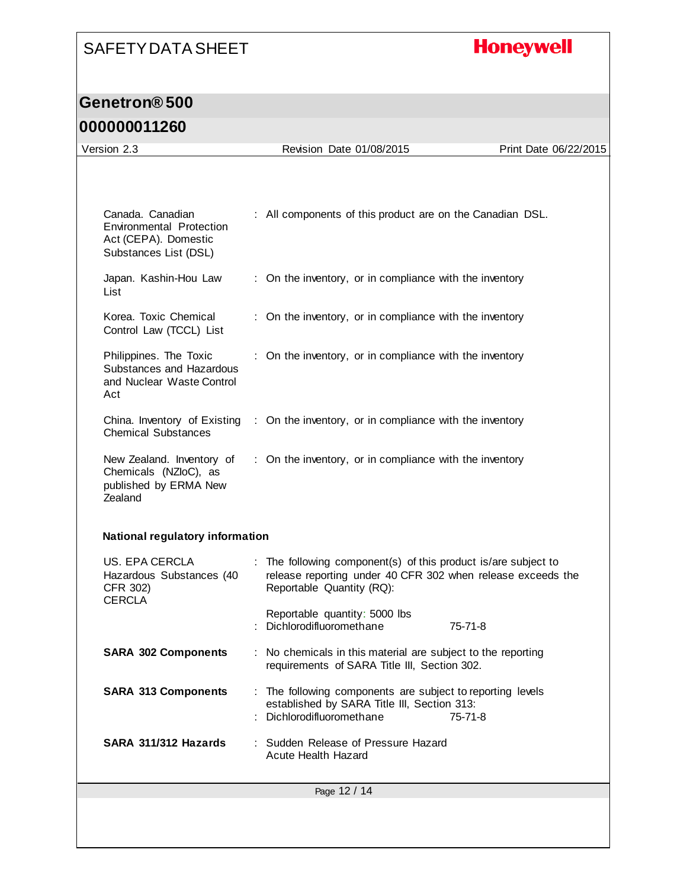# **Honeywell**

#### **Genetron® 500**

| Version 2.3                                                                                          | Revision Date 01/08/2015                                                                                                                                   | Print Date 06/22/2015 |  |  |
|------------------------------------------------------------------------------------------------------|------------------------------------------------------------------------------------------------------------------------------------------------------------|-----------------------|--|--|
|                                                                                                      |                                                                                                                                                            |                       |  |  |
| Canada, Canadian<br><b>Environmental Protection</b><br>Act (CEPA). Domestic<br>Substances List (DSL) | : All components of this product are on the Canadian DSL.                                                                                                  |                       |  |  |
| Japan. Kashin-Hou Law<br>List                                                                        | : On the inventory, or in compliance with the inventory                                                                                                    |                       |  |  |
| Korea. Toxic Chemical<br>Control Law (TCCL) List                                                     | : On the inventory, or in compliance with the inventory                                                                                                    |                       |  |  |
| Philippines. The Toxic<br>Substances and Hazardous<br>and Nuclear Waste Control<br>Act               | : On the inventory, or in compliance with the inventory                                                                                                    |                       |  |  |
| China. Inventory of Existing<br><b>Chemical Substances</b>                                           | : On the inventory, or in compliance with the inventory                                                                                                    |                       |  |  |
| New Zealand. Inventory of<br>Chemicals (NZloC), as<br>published by ERMA New<br>Zealand               | : On the inventory, or in compliance with the inventory                                                                                                    |                       |  |  |
| National regulatory information                                                                      |                                                                                                                                                            |                       |  |  |
| US. EPA CERCLA<br>Hazardous Substances (40<br>CFR 302)<br><b>CERCLA</b>                              | : The following component(s) of this product is/are subject to<br>release reporting under 40 CFR 302 when release exceeds the<br>Reportable Quantity (RQ): |                       |  |  |
|                                                                                                      | Reportable quantity: 5000 lbs<br>Dichlorodifluoromethane                                                                                                   | $75 - 71 - 8$         |  |  |
| <b>SARA 302 Components</b>                                                                           | : No chemicals in this material are subject to the reporting<br>requirements of SARA Title III, Section 302.                                               |                       |  |  |
| <b>SARA 313 Components</b>                                                                           | The following components are subject to reporting levels<br>established by SARA Title III, Section 313:<br>Dichlorodifluoromethane                         | $75 - 71 - 8$         |  |  |
| SARA 311/312 Hazards                                                                                 | : Sudden Release of Pressure Hazard<br>Acute Health Hazard                                                                                                 |                       |  |  |
| Page 12 / 14                                                                                         |                                                                                                                                                            |                       |  |  |
|                                                                                                      |                                                                                                                                                            |                       |  |  |
|                                                                                                      |                                                                                                                                                            |                       |  |  |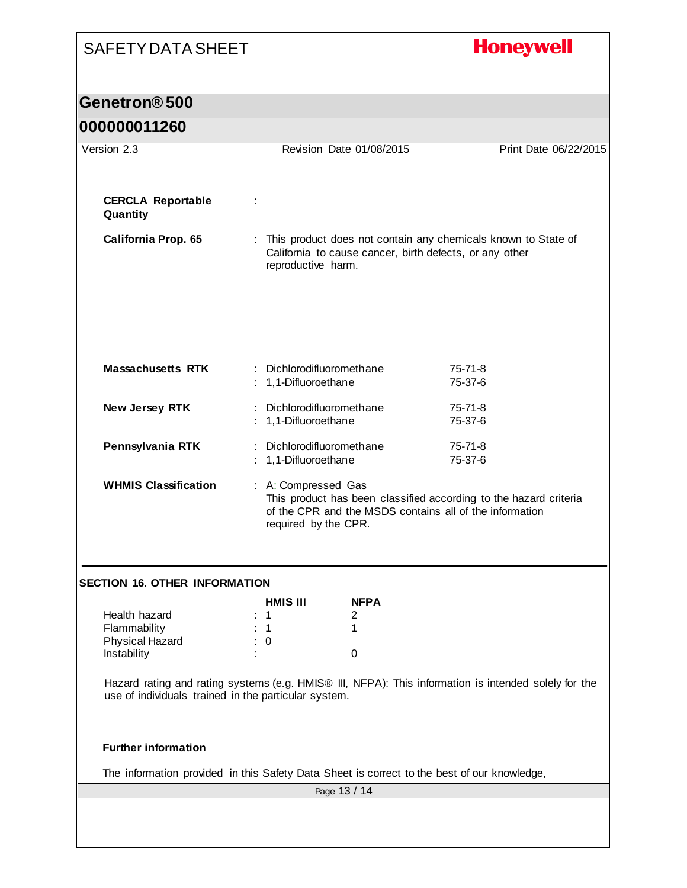# **Honeywell**

#### **Genetron® 500**

| Version 2.3                                                                                 |                                                   | Revision Date 01/08/2015                                                                                                                                                    | Print Date 06/22/2015                                                                                                      |  |
|---------------------------------------------------------------------------------------------|---------------------------------------------------|-----------------------------------------------------------------------------------------------------------------------------------------------------------------------------|----------------------------------------------------------------------------------------------------------------------------|--|
| <b>CERCLA Reportable</b><br>Quantity<br><b>California Prop. 65</b>                          | reproductive harm.                                |                                                                                                                                                                             | : This product does not contain any chemicals known to State of<br>California to cause cancer, birth defects, or any other |  |
| <b>Massachusetts RTK</b>                                                                    | : Dichlorodifluoromethane<br>: 1,1-Difluoroethane |                                                                                                                                                                             | $75 - 71 - 8$<br>75-37-6                                                                                                   |  |
| New Jersey RTK                                                                              | : Dichlorodifluoromethane<br>: 1,1-Difluoroethane |                                                                                                                                                                             | 75-71-8<br>75-37-6                                                                                                         |  |
| Pennsylvania RTK                                                                            | : Dichlorodifluoromethane<br>: 1,1-Difluoroethane |                                                                                                                                                                             | 75-71-8<br>75-37-6                                                                                                         |  |
| <b>WHMIS Classification</b>                                                                 |                                                   | : A: Compressed Gas<br>This product has been classified according to the hazard criteria<br>of the CPR and the MSDS contains all of the information<br>required by the CPR. |                                                                                                                            |  |
| <b>SECTION 16. OTHER INFORMATION</b>                                                        |                                                   |                                                                                                                                                                             |                                                                                                                            |  |
|                                                                                             | <b>HMIS III</b>                                   | <b>NFPA</b>                                                                                                                                                                 |                                                                                                                            |  |
| Health hazard                                                                               | $\mathbf 1$                                       | 2                                                                                                                                                                           |                                                                                                                            |  |
| Flammability                                                                                | $\mathbf 1$                                       | 1                                                                                                                                                                           |                                                                                                                            |  |
| Physical Hazard                                                                             | : 0                                               |                                                                                                                                                                             |                                                                                                                            |  |
| Instability                                                                                 |                                                   | $\mathbf 0$                                                                                                                                                                 |                                                                                                                            |  |
| use of individuals trained in the particular system.<br><b>Further information</b>          |                                                   |                                                                                                                                                                             | Hazard rating and rating systems (e.g. HMIS® III, NFPA): This information is intended solely for the                       |  |
| The information provided in this Safety Data Sheet is correct to the best of our knowledge, |                                                   |                                                                                                                                                                             |                                                                                                                            |  |
|                                                                                             |                                                   | Page 13 / 14                                                                                                                                                                |                                                                                                                            |  |
|                                                                                             |                                                   |                                                                                                                                                                             |                                                                                                                            |  |